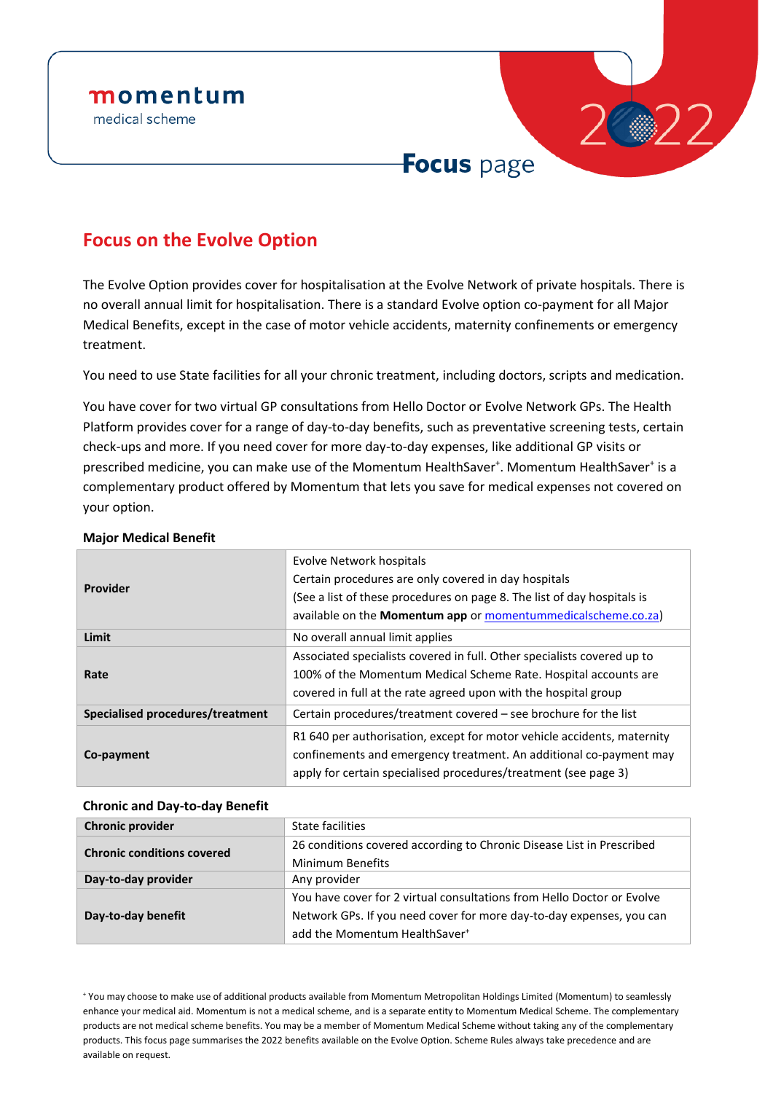# momentum

medical scheme



### **Focus on the Evolve Option**

The Evolve Option provides cover for hospitalisation at the Evolve Network of private hospitals. There is no overall annual limit for hospitalisation. There is a standard Evolve option co-payment for all Major Medical Benefits, except in the case of motor vehicle accidents, maternity confinements or emergency treatment.

You need to use State facilities for all your chronic treatment, including doctors, scripts and medication.

You have cover for two virtual GP consultations from Hello Doctor or Evolve Network GPs. The Health Platform provides cover for a range of day-to-day benefits, such as preventative screening tests, certain check-ups and more. If you need cover for more day-to-day expenses, like additional GP visits or prescribed medicine, you can make use of the Momentum HealthSaver<sup>+</sup>. Momentum HealthSaver<sup>+</sup> is a complementary product offered by Momentum that lets you save for medical expenses not covered on your option.

| <b>Provider</b>                  | Evolve Network hospitals<br>Certain procedures are only covered in day hospitals<br>(See a list of these procedures on page 8. The list of day hospitals is<br>available on the Momentum app or momentummedicalscheme.co.za) |
|----------------------------------|------------------------------------------------------------------------------------------------------------------------------------------------------------------------------------------------------------------------------|
| Limit                            | No overall annual limit applies                                                                                                                                                                                              |
| Rate                             | Associated specialists covered in full. Other specialists covered up to<br>100% of the Momentum Medical Scheme Rate. Hospital accounts are<br>covered in full at the rate agreed upon with the hospital group                |
| Specialised procedures/treatment | Certain procedures/treatment covered - see brochure for the list                                                                                                                                                             |
| Co-payment                       | R1640 per authorisation, except for motor vehicle accidents, maternity<br>confinements and emergency treatment. An additional co-payment may<br>apply for certain specialised procedures/treatment (see page 3)              |

### **Major Medical Benefit**

### **Chronic and Day-to-day Benefit**

| <b>Chronic provider</b>           | <b>State facilities</b>                                                |
|-----------------------------------|------------------------------------------------------------------------|
| <b>Chronic conditions covered</b> | 26 conditions covered according to Chronic Disease List in Prescribed  |
|                                   | <b>Minimum Benefits</b>                                                |
| Day-to-day provider               | Any provider                                                           |
|                                   | You have cover for 2 virtual consultations from Hello Doctor or Evolve |
| Day-to-day benefit                | Network GPs. If you need cover for more day-to-day expenses, you can   |
|                                   | add the Momentum HealthSaver <sup>+</sup>                              |

<sup>+</sup> You may choose to make use of additional products available from Momentum Metropolitan Holdings Limited (Momentum) to seamlessly enhance your medical aid. Momentum is not a medical scheme, and is a separate entity to Momentum Medical Scheme. The complementary products are not medical scheme benefits. You may be a member of Momentum Medical Scheme without taking any of the complementary products. This focus page summarises the 2022 benefits available on the Evolve Option. Scheme Rules always take precedence and are available on request.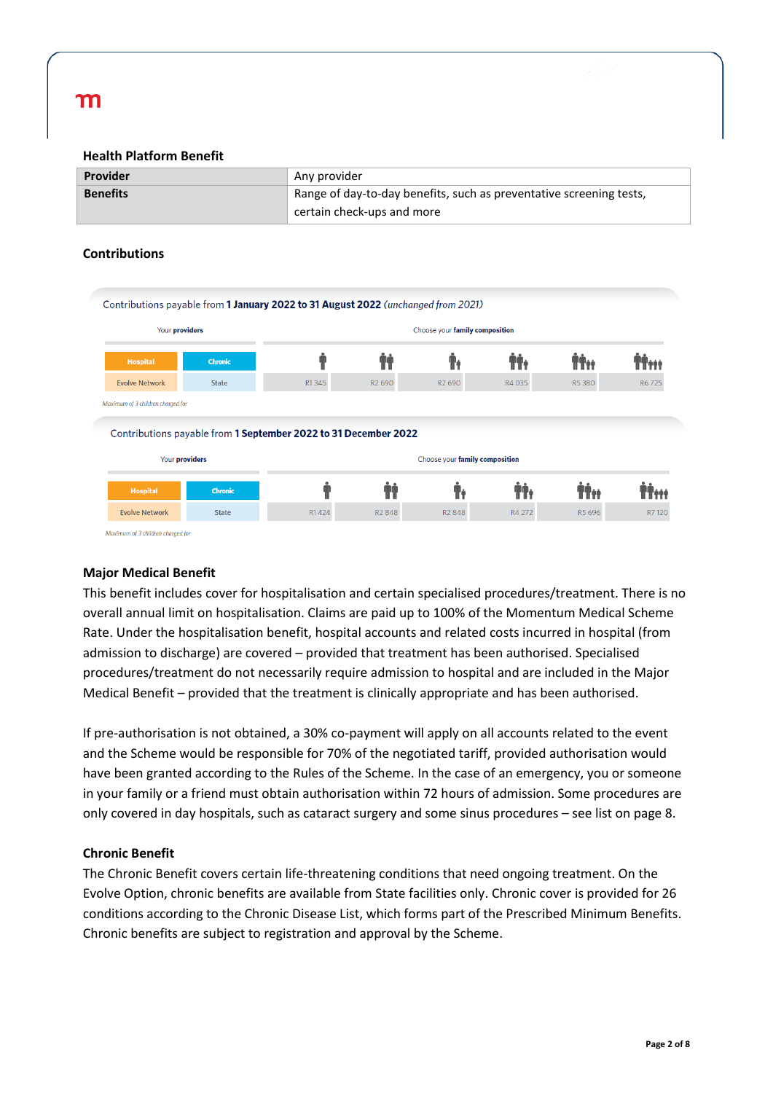#### **Health Platform Benefit**

| <b>Provider</b> | Any provider                                                        |
|-----------------|---------------------------------------------------------------------|
| <b>Benefits</b> | Range of day-to-day benefits, such as preventative screening tests, |
|                 | certain check-ups and more                                          |

### **Contributions**

| Contributions payable from 1 January 2022 to 31 August 2022 (unchanged from 2021) |                |                                                                 |                    |                                |        |            |       |
|-----------------------------------------------------------------------------------|----------------|-----------------------------------------------------------------|--------------------|--------------------------------|--------|------------|-------|
| Your providers                                                                    |                | Choose your family composition                                  |                    |                                |        |            |       |
| <b>Hospital</b>                                                                   | <b>Chronic</b> |                                                                 |                    |                                |        |            |       |
| <b>Evolve Network</b>                                                             | <b>State</b>   | R1345                                                           | R <sub>2</sub> 690 | R <sub>2</sub> 690             | R4 035 | R5380      | R6725 |
| Maximum of 3 children charaed for                                                 |                |                                                                 |                    |                                |        |            |       |
|                                                                                   |                | Contributions payable from 1 September 2022 to 31 December 2022 |                    |                                |        |            |       |
| Your providers                                                                    |                |                                                                 |                    | Choose your family composition |        |            |       |
| <b>Hospital</b>                                                                   | <b>Chronic</b> |                                                                 |                    |                                |        | <b>TİH</b> |       |

### **Major Medical Benefit**

This benefit includes cover for hospitalisation and certain specialised procedures/treatment. There is no overall annual limit on hospitalisation. Claims are paid up to 100% of the Momentum Medical Scheme Rate. Under the hospitalisation benefit, hospital accounts and related costs incurred in hospital (from admission to discharge) are covered – provided that treatment has been authorised. Specialised procedures/treatment do not necessarily require admission to hospital and are included in the Major Medical Benefit – provided that the treatment is clinically appropriate and has been authorised.

If pre-authorisation is not obtained, a 30% co-payment will apply on all accounts related to the event and the Scheme would be responsible for 70% of the negotiated tariff, provided authorisation would have been granted according to the Rules of the Scheme. In the case of an emergency, you or someone in your family or a friend must obtain authorisation within 72 hours of admission. Some procedures are only covered in day hospitals, such as cataract surgery and some sinus procedures – see list on page 8.

### **Chronic Benefit**

The Chronic Benefit covers certain life-threatening conditions that need ongoing treatment. On the Evolve Option, chronic benefits are available from State facilities only. Chronic cover is provided for 26 conditions according to the Chronic Disease List, which forms part of the Prescribed Minimum Benefits. Chronic benefits are subject to registration and approval by the Scheme.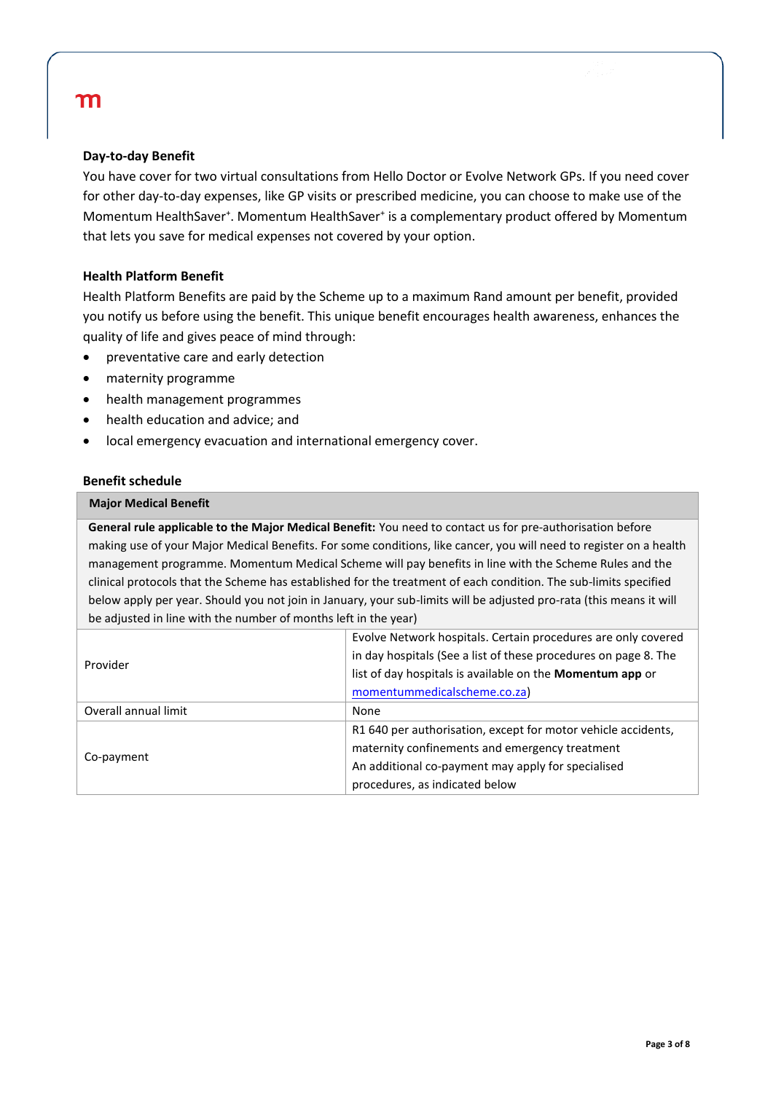### **Day-to-day Benefit**

You have cover for two virtual consultations from Hello Doctor or Evolve Network GPs. If you need cover for other day-to-day expenses, like GP visits or prescribed medicine, you can choose to make use of the Momentum HealthSaver<sup>+</sup>. Momentum HealthSaver<sup>+</sup> is a complementary product offered by Momentum that lets you save for medical expenses not covered by your option.

### **Health Platform Benefit**

Health Platform Benefits are paid by the Scheme up to a maximum Rand amount per benefit, provided you notify us before using the benefit. This unique benefit encourages health awareness, enhances the quality of life and gives peace of mind through:

- preventative care and early detection
- maternity programme
- health management programmes
- health education and advice; and
- local emergency evacuation and international emergency cover.

### **Benefit schedule**

#### **Major Medical Benefit**

**General rule applicable to the Major Medical Benefit:** You need to contact us for pre-authorisation before making use of your Major Medical Benefits. For some conditions, like cancer, you will need to register on a health management programme. Momentum Medical Scheme will pay benefits in line with the Scheme Rules and the clinical protocols that the Scheme has established for the treatment of each condition. The sub-limits specified below apply per year. Should you not join in January, your sub-limits will be adjusted pro-rata (this means it will be adjusted in line with the number of months left in the year)

|                      | Evolve Network hospitals. Certain procedures are only covered    |  |
|----------------------|------------------------------------------------------------------|--|
| Provider             | in day hospitals (See a list of these procedures on page 8. The  |  |
|                      | list of day hospitals is available on the <b>Momentum app</b> or |  |
|                      | momentummedicalscheme.co.za)                                     |  |
| Overall annual limit | None                                                             |  |
|                      | R1 640 per authorisation, except for motor vehicle accidents,    |  |
|                      | maternity confinements and emergency treatment                   |  |
| Co-payment           | An additional co-payment may apply for specialised               |  |
|                      | procedures, as indicated below                                   |  |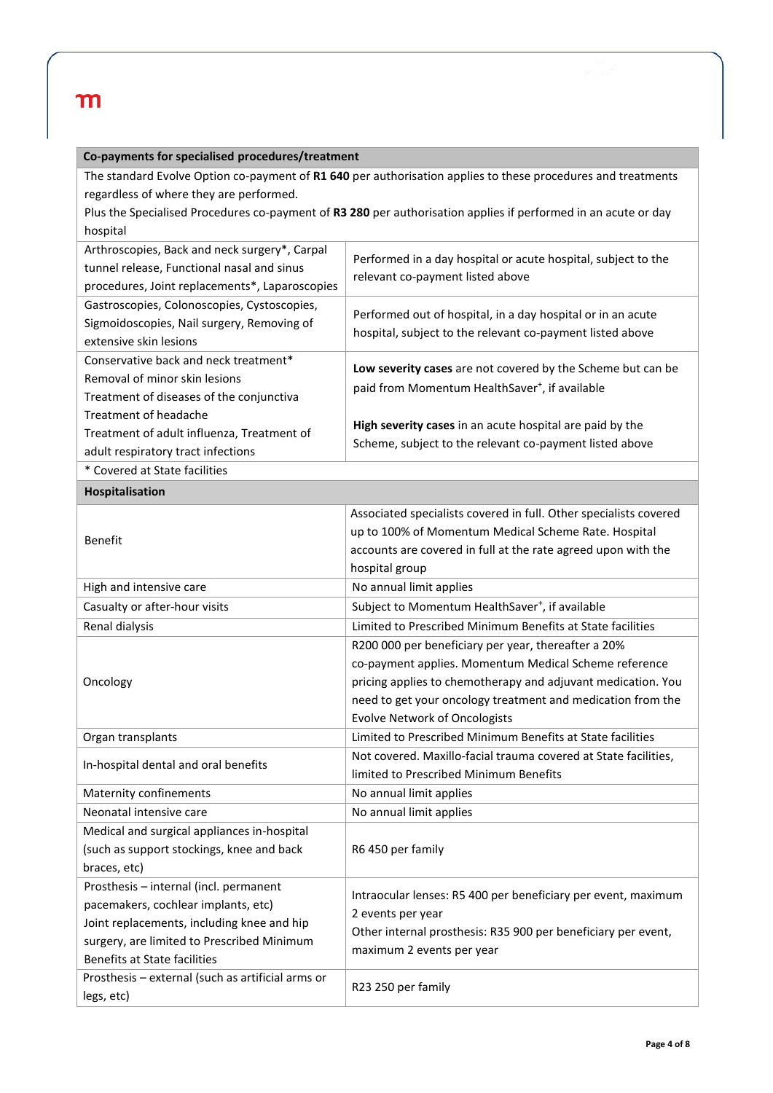|  |  | Co-payments for specialised procedures/treatment |
|--|--|--------------------------------------------------|
|--|--|--------------------------------------------------|

The standard Evolve Option co-payment of **R1 640** per authorisation applies to these procedures and treatments regardless of where they are performed.

Plus the Specialised Procedures co-payment of **R3 280** per authorisation applies if performed in an acute or day hospital

| Arthroscopies, Back and neck surgery*, Carpal<br>tunnel release, Functional nasal and sinus<br>procedures, Joint replacements*, Laparoscopies | Performed in a day hospital or acute hospital, subject to the<br>relevant co-payment listed above                          |
|-----------------------------------------------------------------------------------------------------------------------------------------------|----------------------------------------------------------------------------------------------------------------------------|
| Gastroscopies, Colonoscopies, Cystoscopies,<br>Sigmoidoscopies, Nail surgery, Removing of<br>extensive skin lesions                           | Performed out of hospital, in a day hospital or in an acute<br>hospital, subject to the relevant co-payment listed above   |
| Conservative back and neck treatment*<br>Removal of minor skin lesions<br>Treatment of diseases of the conjunctiva                            | Low severity cases are not covered by the Scheme but can be<br>paid from Momentum HealthSaver <sup>+</sup> , if available  |
| Treatment of headache<br>Treatment of adult influenza, Treatment of<br>adult respiratory tract infections                                     | <b>High severity cases</b> in an acute hospital are paid by the<br>Scheme, subject to the relevant co-payment listed above |
| $\ast$ Caused at Chata familities.                                                                                                            |                                                                                                                            |

\* Covered at State facilities

| Hospitalisation                                                                                                                                                                                                                                                       |                                                                                                                                                                                                                                                                                     |
|-----------------------------------------------------------------------------------------------------------------------------------------------------------------------------------------------------------------------------------------------------------------------|-------------------------------------------------------------------------------------------------------------------------------------------------------------------------------------------------------------------------------------------------------------------------------------|
| <b>Benefit</b>                                                                                                                                                                                                                                                        | Associated specialists covered in full. Other specialists covered<br>up to 100% of Momentum Medical Scheme Rate. Hospital<br>accounts are covered in full at the rate agreed upon with the<br>hospital group                                                                        |
| High and intensive care                                                                                                                                                                                                                                               | No annual limit applies                                                                                                                                                                                                                                                             |
| Casualty or after-hour visits                                                                                                                                                                                                                                         | Subject to Momentum HealthSaver <sup>+</sup> , if available                                                                                                                                                                                                                         |
| Renal dialysis                                                                                                                                                                                                                                                        | Limited to Prescribed Minimum Benefits at State facilities                                                                                                                                                                                                                          |
| Oncology                                                                                                                                                                                                                                                              | R200 000 per beneficiary per year, thereafter a 20%<br>co-payment applies. Momentum Medical Scheme reference<br>pricing applies to chemotherapy and adjuvant medication. You<br>need to get your oncology treatment and medication from the<br><b>Evolve Network of Oncologists</b> |
| Organ transplants                                                                                                                                                                                                                                                     | Limited to Prescribed Minimum Benefits at State facilities                                                                                                                                                                                                                          |
| In-hospital dental and oral benefits                                                                                                                                                                                                                                  | Not covered. Maxillo-facial trauma covered at State facilities.<br>limited to Prescribed Minimum Benefits                                                                                                                                                                           |
| <b>Maternity confinements</b>                                                                                                                                                                                                                                         | No annual limit applies                                                                                                                                                                                                                                                             |
| Neonatal intensive care                                                                                                                                                                                                                                               | No annual limit applies                                                                                                                                                                                                                                                             |
| Medical and surgical appliances in-hospital<br>(such as support stockings, knee and back<br>braces, etc)                                                                                                                                                              | R6 450 per family                                                                                                                                                                                                                                                                   |
| Prosthesis - internal (incl. permanent<br>pacemakers, cochlear implants, etc)<br>Joint replacements, including knee and hip<br>surgery, are limited to Prescribed Minimum<br><b>Benefits at State facilities</b><br>Prosthesis - external (such as artificial arms or | Intraocular lenses: R5 400 per beneficiary per event, maximum<br>2 events per year<br>Other internal prosthesis: R35 900 per beneficiary per event,<br>maximum 2 events per year                                                                                                    |
| legs, etc)                                                                                                                                                                                                                                                            | R23 250 per family                                                                                                                                                                                                                                                                  |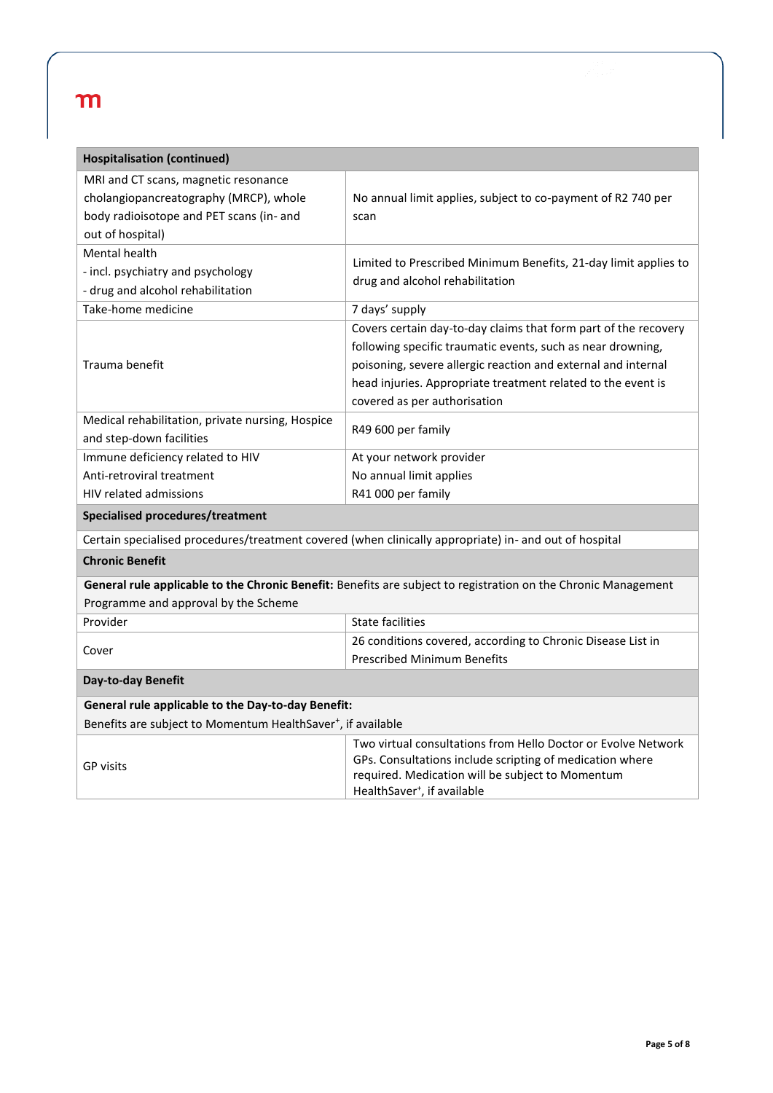| <b>Hospitalisation (continued)</b>                                                                                                             |                                                                                                                                                                                                                                                                                                 |
|------------------------------------------------------------------------------------------------------------------------------------------------|-------------------------------------------------------------------------------------------------------------------------------------------------------------------------------------------------------------------------------------------------------------------------------------------------|
| MRI and CT scans, magnetic resonance<br>cholangiopancreatography (MRCP), whole<br>body radioisotope and PET scans (in- and<br>out of hospital) | No annual limit applies, subject to co-payment of R2 740 per<br>scan                                                                                                                                                                                                                            |
| Mental health<br>- incl. psychiatry and psychology<br>- drug and alcohol rehabilitation                                                        | Limited to Prescribed Minimum Benefits, 21-day limit applies to<br>drug and alcohol rehabilitation                                                                                                                                                                                              |
| Take-home medicine                                                                                                                             | 7 days' supply                                                                                                                                                                                                                                                                                  |
| Trauma benefit                                                                                                                                 | Covers certain day-to-day claims that form part of the recovery<br>following specific traumatic events, such as near drowning,<br>poisoning, severe allergic reaction and external and internal<br>head injuries. Appropriate treatment related to the event is<br>covered as per authorisation |
| Medical rehabilitation, private nursing, Hospice<br>and step-down facilities                                                                   | R49 600 per family                                                                                                                                                                                                                                                                              |
| Immune deficiency related to HIV                                                                                                               | At your network provider                                                                                                                                                                                                                                                                        |
| Anti-retroviral treatment                                                                                                                      | No annual limit applies                                                                                                                                                                                                                                                                         |
| <b>HIV related admissions</b>                                                                                                                  | R41 000 per family                                                                                                                                                                                                                                                                              |
| Specialised procedures/treatment                                                                                                               |                                                                                                                                                                                                                                                                                                 |
|                                                                                                                                                | Certain specialised procedures/treatment covered (when clinically appropriate) in- and out of hospital                                                                                                                                                                                          |
| <b>Chronic Benefit</b>                                                                                                                         |                                                                                                                                                                                                                                                                                                 |
| Programme and approval by the Scheme                                                                                                           | General rule applicable to the Chronic Benefit: Benefits are subject to registration on the Chronic Management                                                                                                                                                                                  |
| Provider                                                                                                                                       | <b>State facilities</b>                                                                                                                                                                                                                                                                         |
| Cover                                                                                                                                          | 26 conditions covered, according to Chronic Disease List in<br><b>Prescribed Minimum Benefits</b>                                                                                                                                                                                               |
| Day-to-day Benefit                                                                                                                             |                                                                                                                                                                                                                                                                                                 |
| General rule applicable to the Day-to-day Benefit:                                                                                             |                                                                                                                                                                                                                                                                                                 |
| Benefits are subject to Momentum HealthSaver <sup>+</sup> , if available                                                                       |                                                                                                                                                                                                                                                                                                 |
| GP visits                                                                                                                                      | Two virtual consultations from Hello Doctor or Evolve Network<br>GPs. Consultations include scripting of medication where<br>required. Medication will be subject to Momentum<br>HealthSaver <sup>+</sup> , if available                                                                        |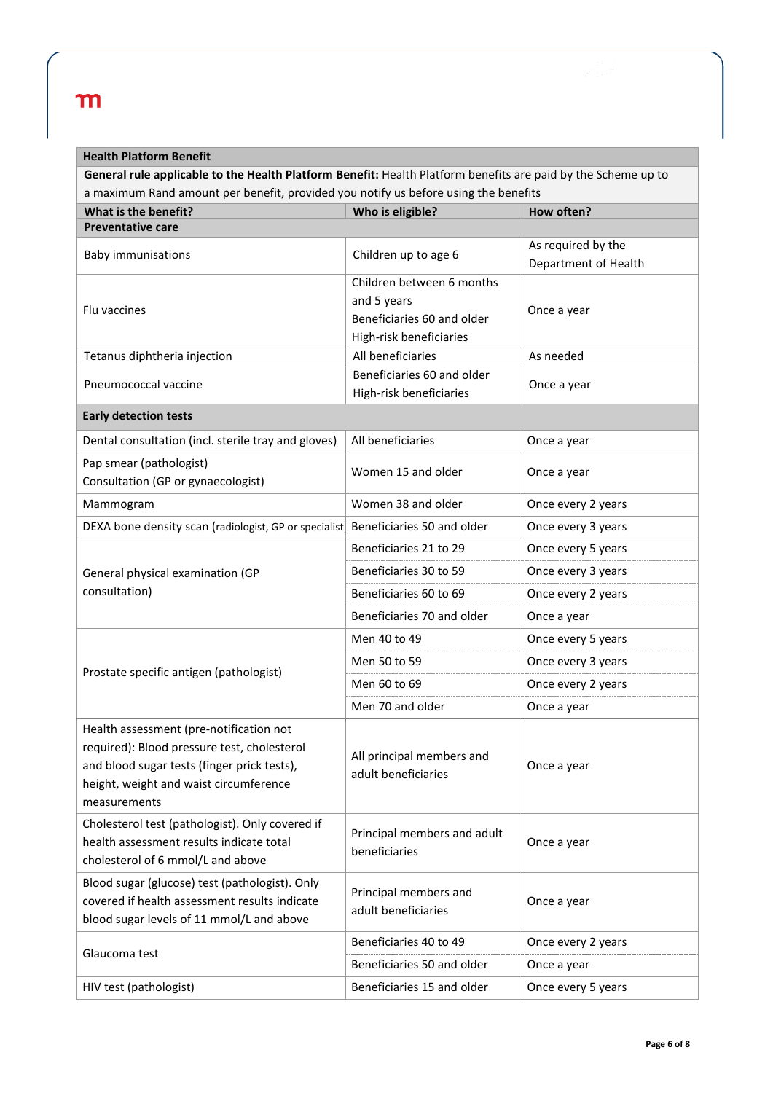### **Health Platform Benefit**

**General rule applicable to the Health Platform Benefit:** Health Platform benefits are paid by the Scheme up to a maximum Rand amount per benefit, provided you notify us before using the benefits

| What is the benefit?                                                                                                                                                                            | Who is eligible?                                                                                  | How often?                                 |
|-------------------------------------------------------------------------------------------------------------------------------------------------------------------------------------------------|---------------------------------------------------------------------------------------------------|--------------------------------------------|
| <b>Preventative care</b>                                                                                                                                                                        |                                                                                                   |                                            |
| <b>Baby immunisations</b>                                                                                                                                                                       | Children up to age 6                                                                              | As required by the<br>Department of Health |
| Flu vaccines                                                                                                                                                                                    | Children between 6 months<br>and 5 years<br>Beneficiaries 60 and older<br>High-risk beneficiaries | Once a year                                |
| Tetanus diphtheria injection                                                                                                                                                                    | All beneficiaries                                                                                 | As needed                                  |
| Pneumococcal vaccine                                                                                                                                                                            | Beneficiaries 60 and older<br>High-risk beneficiaries                                             | Once a year                                |
| <b>Early detection tests</b>                                                                                                                                                                    |                                                                                                   |                                            |
| Dental consultation (incl. sterile tray and gloves)                                                                                                                                             | All beneficiaries                                                                                 | Once a year                                |
| Pap smear (pathologist)<br>Consultation (GP or gynaecologist)                                                                                                                                   | Women 15 and older                                                                                | Once a year                                |
| Mammogram                                                                                                                                                                                       | Women 38 and older                                                                                | Once every 2 years                         |
| DEXA bone density scan (radiologist, GP or specialist) Beneficiaries 50 and older                                                                                                               |                                                                                                   | Once every 3 years                         |
|                                                                                                                                                                                                 | Beneficiaries 21 to 29                                                                            | Once every 5 years                         |
| General physical examination (GP                                                                                                                                                                | Beneficiaries 30 to 59                                                                            | Once every 3 years                         |
| consultation)                                                                                                                                                                                   | Beneficiaries 60 to 69                                                                            | Once every 2 years                         |
|                                                                                                                                                                                                 | Beneficiaries 70 and older                                                                        | Once a year                                |
|                                                                                                                                                                                                 | Men 40 to 49                                                                                      | Once every 5 years                         |
| Prostate specific antigen (pathologist)                                                                                                                                                         | Men 50 to 59                                                                                      | Once every 3 years                         |
|                                                                                                                                                                                                 | Men 60 to 69                                                                                      | Once every 2 years                         |
|                                                                                                                                                                                                 | Men 70 and older                                                                                  | Once a year                                |
| Health assessment (pre-notification not<br>required): Blood pressure test, cholesterol<br>and blood sugar tests (finger prick tests),<br>height, weight and waist circumference<br>measurements | All principal members and<br>adult beneficiaries                                                  | Once a year                                |
| Cholesterol test (pathologist). Only covered if<br>health assessment results indicate total<br>cholesterol of 6 mmol/L and above                                                                | Principal members and adult<br>beneficiaries                                                      | Once a year                                |
| Blood sugar (glucose) test (pathologist). Only<br>covered if health assessment results indicate<br>blood sugar levels of 11 mmol/L and above                                                    | Principal members and<br>adult beneficiaries                                                      | Once a year                                |
| Glaucoma test                                                                                                                                                                                   | Beneficiaries 40 to 49                                                                            | Once every 2 years                         |
|                                                                                                                                                                                                 | Beneficiaries 50 and older                                                                        | Once a year                                |
| HIV test (pathologist)                                                                                                                                                                          | Beneficiaries 15 and older                                                                        | Once every 5 years                         |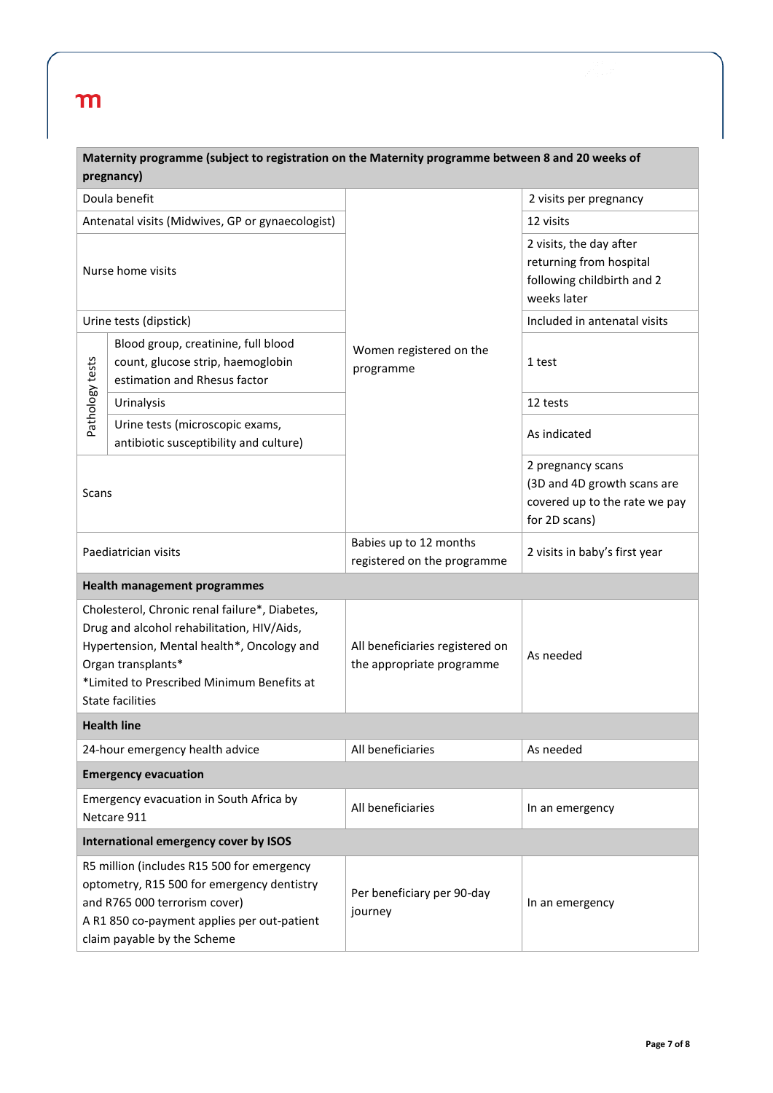|                                                                                                                                                                                                                                           | Maternity programme (subject to registration on the Maternity programme between 8 and 20 weeks of<br>pregnancy)                                                                                         |                                                              |                                                                                                    |
|-------------------------------------------------------------------------------------------------------------------------------------------------------------------------------------------------------------------------------------------|---------------------------------------------------------------------------------------------------------------------------------------------------------------------------------------------------------|--------------------------------------------------------------|----------------------------------------------------------------------------------------------------|
|                                                                                                                                                                                                                                           | Doula benefit                                                                                                                                                                                           |                                                              | 2 visits per pregnancy                                                                             |
| Antenatal visits (Midwives, GP or gynaecologist)<br>Nurse home visits<br>Urine tests (dipstick)<br>Blood group, creatinine, full blood<br>Pathology tests<br>count, glucose strip, haemoglobin<br>estimation and Rhesus factor            |                                                                                                                                                                                                         |                                                              | 12 visits                                                                                          |
|                                                                                                                                                                                                                                           |                                                                                                                                                                                                         |                                                              | 2 visits, the day after<br>returning from hospital<br>following childbirth and 2<br>weeks later    |
|                                                                                                                                                                                                                                           |                                                                                                                                                                                                         |                                                              | Included in antenatal visits                                                                       |
|                                                                                                                                                                                                                                           |                                                                                                                                                                                                         | Women registered on the<br>programme                         | 1 test                                                                                             |
|                                                                                                                                                                                                                                           | Urinalysis                                                                                                                                                                                              |                                                              | 12 tests                                                                                           |
|                                                                                                                                                                                                                                           | Urine tests (microscopic exams,<br>antibiotic susceptibility and culture)                                                                                                                               |                                                              | As indicated                                                                                       |
| Scans                                                                                                                                                                                                                                     |                                                                                                                                                                                                         |                                                              | 2 pregnancy scans<br>(3D and 4D growth scans are<br>covered up to the rate we pay<br>for 2D scans) |
| Paediatrician visits                                                                                                                                                                                                                      |                                                                                                                                                                                                         | Babies up to 12 months<br>registered on the programme        | 2 visits in baby's first year                                                                      |
|                                                                                                                                                                                                                                           | <b>Health management programmes</b>                                                                                                                                                                     |                                                              |                                                                                                    |
| Cholesterol, Chronic renal failure*, Diabetes,<br>Drug and alcohol rehabilitation, HIV/Aids,<br>Hypertension, Mental health*, Oncology and<br>Organ transplants*<br>*Limited to Prescribed Minimum Benefits at<br><b>State facilities</b> |                                                                                                                                                                                                         | All beneficiaries registered on<br>the appropriate programme | As needed                                                                                          |
|                                                                                                                                                                                                                                           | <b>Health line</b>                                                                                                                                                                                      |                                                              |                                                                                                    |
| 24-hour emergency health advice                                                                                                                                                                                                           |                                                                                                                                                                                                         | All beneficiaries                                            | As needed                                                                                          |
|                                                                                                                                                                                                                                           | <b>Emergency evacuation</b>                                                                                                                                                                             |                                                              |                                                                                                    |
| Emergency evacuation in South Africa by<br>Netcare 911                                                                                                                                                                                    |                                                                                                                                                                                                         | All beneficiaries                                            | In an emergency                                                                                    |
|                                                                                                                                                                                                                                           | International emergency cover by ISOS                                                                                                                                                                   |                                                              |                                                                                                    |
|                                                                                                                                                                                                                                           | R5 million (includes R15 500 for emergency<br>optometry, R15 500 for emergency dentistry<br>and R765 000 terrorism cover)<br>A R1 850 co-payment applies per out-patient<br>claim payable by the Scheme | Per beneficiary per 90-day<br>journey                        | In an emergency                                                                                    |